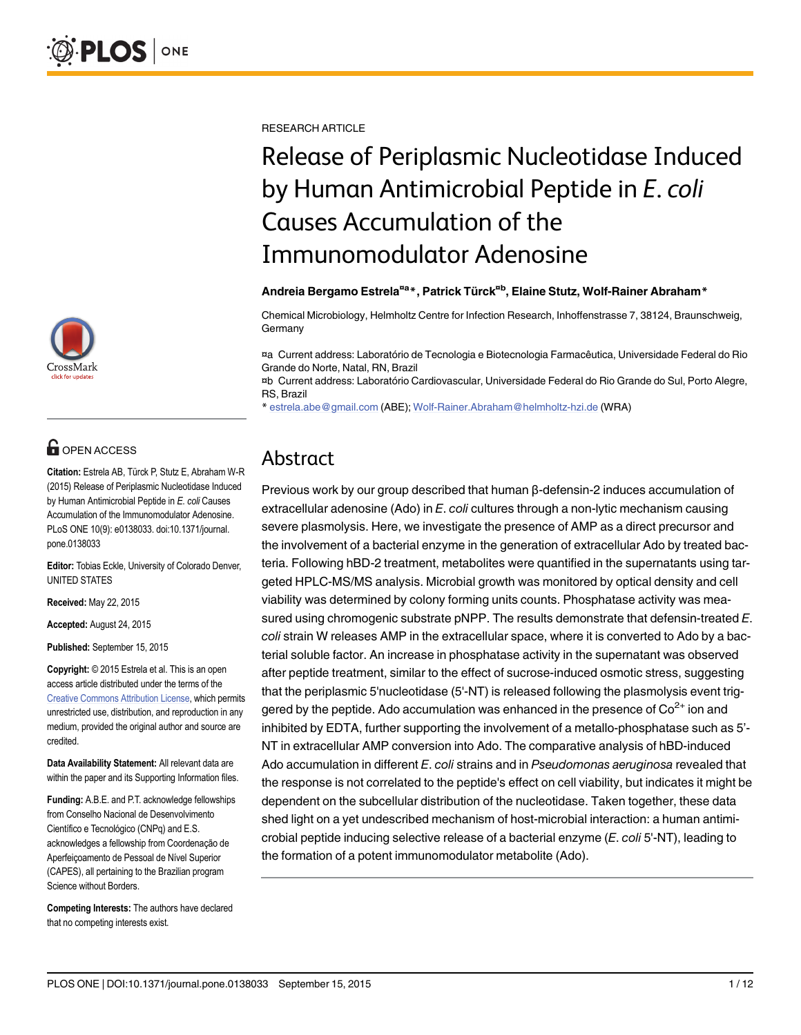

# **G** OPEN ACCESS

Citation: Estrela AB, Türck P, Stutz E, Abraham W-R (2015) Release of Periplasmic Nucleotidase Induced by Human Antimicrobial Peptide in E. coli Causes Accumulation of the Immunomodulator Adenosine. PLoS ONE 10(9): e0138033. doi:10.1371/journal. pone.0138033

Editor: Tobias Eckle, University of Colorado Denver, UNITED STATES

Received: May 22, 2015

Accepted: August 24, 2015

Published: September 15, 2015

Copyright: © 2015 Estrela et al. This is an open access article distributed under the terms of the [Creative Commons Attribution License,](http://creativecommons.org/licenses/by/4.0/) which permits unrestricted use, distribution, and reproduction in any medium, provided the original author and source are credited.

Data Availability Statement: All relevant data are within the paper and its Supporting Information files.

Funding: A.B.E. and P.T. acknowledge fellowships from Conselho Nacional de Desenvolvimento Científico e Tecnológico (CNPq) and E.S. acknowledges a fellowship from Coordenação de Aperfeiçoamento de Pessoal de Nível Superior (CAPES), all pertaining to the Brazilian program Science without Borders.

Competing Interests: The authors have declared that no competing interests exist.

RESEARCH ARTICLE

# Release of Periplasmic Nucleotidase Induced by Human Antimicrobial Peptide in E. coli Causes Accumulation of the Immunomodulator Adenosine

#### Andreia Bergamo Estrela<sup>¤a</sup>\*, Patrick Türck<sup>¤b</sup>, Elaine Stutz, Wolf-Rainer Abraham\*

Chemical Microbiology, Helmholtz Centre for Infection Research, Inhoffenstrasse 7, 38124, Braunschweig, Germany

¤a Current address: Laboratório de Tecnologia e Biotecnologia Farmacêutica, Universidade Federal do Rio Grande do Norte, Natal, RN, Brazil

¤b Current address: Laboratório Cardiovascular, Universidade Federal do Rio Grande do Sul, Porto Alegre, RS, Brazil

\* estrela.abe@gmail.com (ABE); Wolf-Rainer.Abraham@helmholtz-hzi.de (WRA)

# Abstract

Previous work by our group described that human β-defensin-2 induces accumulation of extracellular adenosine (Ado) in E. coli cultures through a non-lytic mechanism causing severe plasmolysis. Here, we investigate the presence of AMP as a direct precursor and the involvement of a bacterial enzyme in the generation of extracellular Ado by treated bacteria. Following hBD-2 treatment, metabolites were quantified in the supernatants using targeted HPLC-MS/MS analysis. Microbial growth was monitored by optical density and cell viability was determined by colony forming units counts. Phosphatase activity was measured using chromogenic substrate pNPP. The results demonstrate that defensin-treated E. coli strain W releases AMP in the extracellular space, where it is converted to Ado by a bacterial soluble factor. An increase in phosphatase activity in the supernatant was observed after peptide treatment, similar to the effect of sucrose-induced osmotic stress, suggesting that the periplasmic 5'nucleotidase (5'-NT) is released following the plasmolysis event triggered by the peptide. Ado accumulation was enhanced in the presence of  $Co<sup>2+</sup>$  ion and inhibited by EDTA, further supporting the involvement of a metallo-phosphatase such as 5'- NT in extracellular AMP conversion into Ado. The comparative analysis of hBD-induced Ado accumulation in different E. coli strains and in Pseudomonas aeruginosa revealed that the response is not correlated to the peptide's effect on cell viability, but indicates it might be dependent on the subcellular distribution of the nucleotidase. Taken together, these data shed light on a yet undescribed mechanism of host-microbial interaction: a human antimicrobial peptide inducing selective release of a bacterial enzyme  $(E.\text{coli 5'-NT})$ , leading to the formation of a potent immunomodulator metabolite (Ado).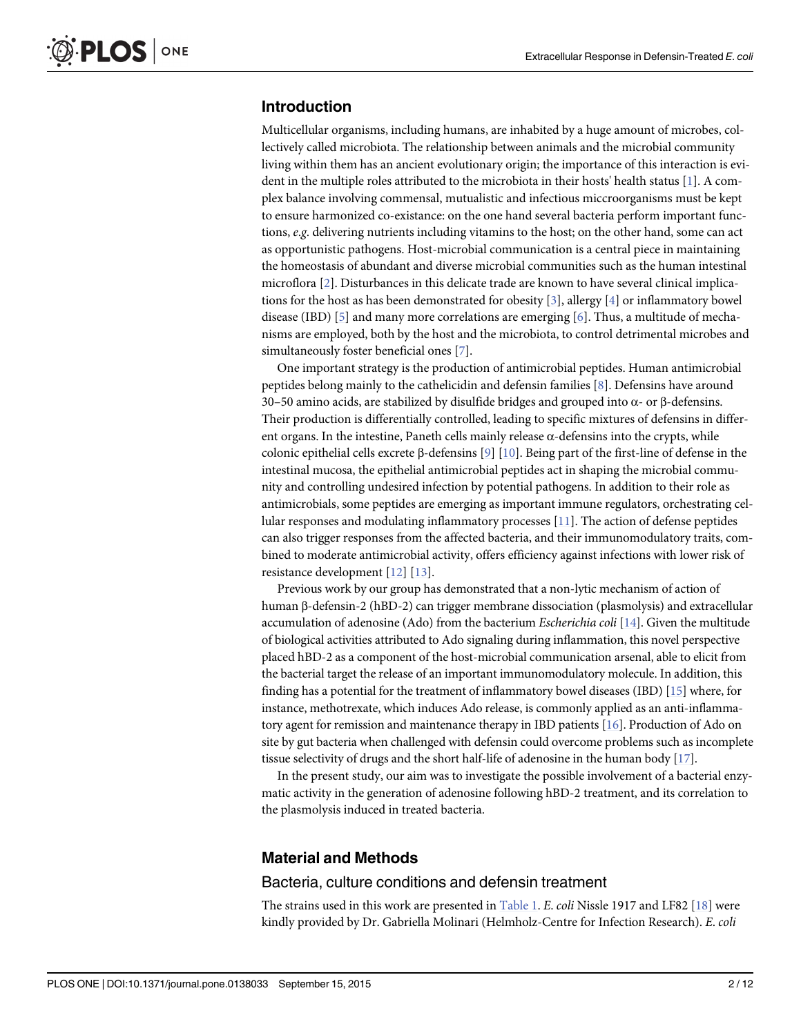## <span id="page-1-0"></span>Introduction

Multicellular organisms, including humans, are inhabited by a huge amount of microbes, collectively called microbiota. The relationship between animals and the microbial community living within them has an ancient evolutionary origin; the importance of this interaction is evident in the multiple roles attributed to the microbiota in their hosts' health status [\[1\]](#page-10-0). A complex balance involving commensal, mutualistic and infectious miccroorganisms must be kept to ensure harmonized co-existance: on the one hand several bacteria perform important functions, e.g. delivering nutrients including vitamins to the host; on the other hand, some can act as opportunistic pathogens. Host-microbial communication is a central piece in maintaining the homeostasis of abundant and diverse microbial communities such as the human intestinal microflora [[2](#page-10-0)]. Disturbances in this delicate trade are known to have several clinical implications for the host as has been demonstrated for obesity  $[3]$ , allergy  $[4]$  $[4]$  $[4]$  or inflammatory bowel disease (IBD) [\[5\]](#page-10-0) and many more correlations are emerging [\[6](#page-10-0)]. Thus, a multitude of mechanisms are employed, both by the host and the microbiota, to control detrimental microbes and simultaneously foster beneficial ones [[7\]](#page-10-0).

One important strategy is the production of antimicrobial peptides. Human antimicrobial peptides belong mainly to the cathelicidin and defensin families [\[8\]](#page-10-0). Defensins have around 30–50 amino acids, are stabilized by disulfide bridges and grouped into α- or β-defensins. Their production is differentially controlled, leading to specific mixtures of defensins in different organs. In the intestine, Paneth cells mainly release  $\alpha$ -defensins into the crypts, while colonic epithelial cells excrete β-defensins [[9](#page-10-0)] [\[10](#page-10-0)]. Being part of the first-line of defense in the intestinal mucosa, the epithelial antimicrobial peptides act in shaping the microbial community and controlling undesired infection by potential pathogens. In addition to their role as antimicrobials, some peptides are emerging as important immune regulators, orchestrating cellular responses and modulating inflammatory processes [[11](#page-10-0)]. The action of defense peptides can also trigger responses from the affected bacteria, and their immunomodulatory traits, combined to moderate antimicrobial activity, offers efficiency against infections with lower risk of resistance development [\[12\]](#page-10-0) [[13\]](#page-10-0).

Previous work by our group has demonstrated that a non-lytic mechanism of action of human β-defensin-2 (hBD-2) can trigger membrane dissociation (plasmolysis) and extracellular accumulation of adenosine (Ado) from the bacterium Escherichia coli [\[14\]](#page-10-0). Given the multitude of biological activities attributed to Ado signaling during inflammation, this novel perspective placed hBD-2 as a component of the host-microbial communication arsenal, able to elicit from the bacterial target the release of an important immunomodulatory molecule. In addition, this finding has a potential for the treatment of inflammatory bowel diseases (IBD) [\[15\]](#page-10-0) where, for instance, methotrexate, which induces Ado release, is commonly applied as an anti-inflammatory agent for remission and maintenance therapy in IBD patients [[16](#page-10-0)]. Production of Ado on site by gut bacteria when challenged with defensin could overcome problems such as incomplete tissue selectivity of drugs and the short half-life of adenosine in the human body  $[17]$ .

In the present study, our aim was to investigate the possible involvement of a bacterial enzymatic activity in the generation of adenosine following hBD-2 treatment, and its correlation to the plasmolysis induced in treated bacteria.

#### Material and Methods

#### Bacteria, culture conditions and defensin treatment

The strains used in this work are presented in [Table 1](#page-2-0). E. coli Nissle 1917 and LF82  $[18]$  $[18]$  $[18]$  were kindly provided by Dr. Gabriella Molinari (Helmholz-Centre for Infection Research). E. coli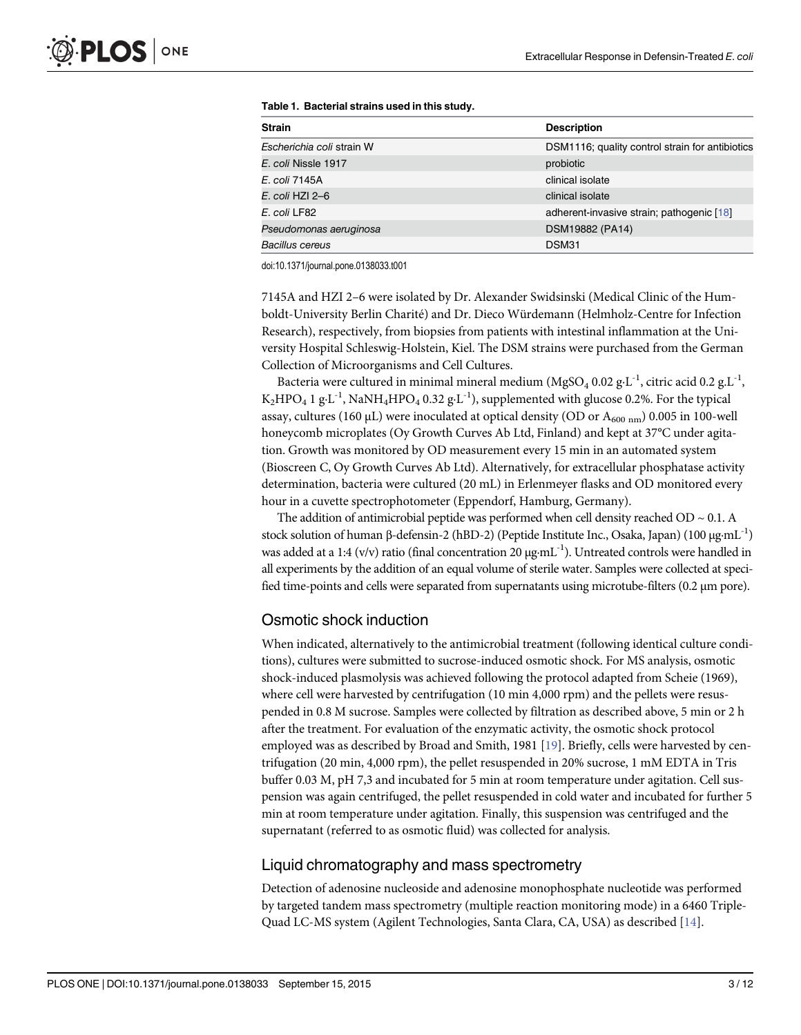| <b>Strain</b>             | <b>Description</b>                              |
|---------------------------|-------------------------------------------------|
| Escherichia coli strain W | DSM1116; quality control strain for antibiotics |
| E. coli Nissle 1917       | probiotic                                       |
| E. coli 7145A             | clinical isolate                                |
| E. coli HZI 2–6           | clinical isolate                                |
| E. coli LF82              | adherent-invasive strain; pathogenic [18]       |
| Pseudomonas aeruginosa    | DSM19882 (PA14)                                 |
| Bacillus cereus           | DSM31                                           |

<span id="page-2-0"></span>[Table 1.](#page-1-0) Bacterial strains used in this study.

doi:10.1371/journal.pone.0138033.t001

7145A and HZI 2–6 were isolated by Dr. Alexander Swidsinski (Medical Clinic of the Humboldt-University Berlin Charité) and Dr. Dieco Würdemann (Helmholz-Centre for Infection Research), respectively, from biopsies from patients with intestinal inflammation at the University Hospital Schleswig-Holstein, Kiel. The DSM strains were purchased from the German Collection of Microorganisms and Cell Cultures.

Bacteria were cultured in minimal mineral medium (MgSO<sub>4</sub> 0.02 g⋅L<sup>-1</sup>, citric acid 0.2 g⋅L<sup>-1</sup>, K<sub>2</sub>HPO<sub>4</sub> 1 g⋅L<sup>-1</sup>, NaNH<sub>4</sub>HPO<sub>4</sub> 0.32 g⋅L<sup>-1</sup>), supplemented with glucose 0.2%. For the typical assay, cultures (160 µL) were inoculated at optical density (OD or  $A_{600 \text{ nm}}$ ) 0.005 in 100-well honeycomb microplates (Oy Growth Curves Ab Ltd, Finland) and kept at 37°C under agitation. Growth was monitored by OD measurement every 15 min in an automated system (Bioscreen C, Oy Growth Curves Ab Ltd). Alternatively, for extracellular phosphatase activity determination, bacteria were cultured (20 mL) in Erlenmeyer flasks and OD monitored every hour in a cuvette spectrophotometer (Eppendorf, Hamburg, Germany).

The addition of antimicrobial peptide was performed when cell density reached OD  $\sim 0.1$ . A stock solution of human β-defensin-2 (hBD-2) (Peptide Institute Inc., Osaka, Japan) (100 μg⋅mL<sup>-1</sup>) was added at a 1:4 (v/v) ratio (final concentration 20 μg⋅mL<sup>-1</sup>). Untreated controls were handled in all experiments by the addition of an equal volume of sterile water. Samples were collected at specified time-points and cells were separated from supernatants using microtube-filters (0.2 μm pore).

#### Osmotic shock induction

When indicated, alternatively to the antimicrobial treatment (following identical culture conditions), cultures were submitted to sucrose-induced osmotic shock. For MS analysis, osmotic shock-induced plasmolysis was achieved following the protocol adapted from Scheie (1969), where cell were harvested by centrifugation (10 min 4,000 rpm) and the pellets were resuspended in 0.8 M sucrose. Samples were collected by filtration as described above, 5 min or 2 h after the treatment. For evaluation of the enzymatic activity, the osmotic shock protocol employed was as described by Broad and Smith, 1981 [[19](#page-10-0)]. Briefly, cells were harvested by centrifugation (20 min, 4,000 rpm), the pellet resuspended in 20% sucrose, 1 mM EDTA in Tris buffer 0.03 M, pH 7,3 and incubated for 5 min at room temperature under agitation. Cell suspension was again centrifuged, the pellet resuspended in cold water and incubated for further 5 min at room temperature under agitation. Finally, this suspension was centrifuged and the supernatant (referred to as osmotic fluid) was collected for analysis.

#### Liquid chromatography and mass spectrometry

Detection of adenosine nucleoside and adenosine monophosphate nucleotide was performed by targeted tandem mass spectrometry (multiple reaction monitoring mode) in a 6460 Triple-Quad LC-MS system (Agilent Technologies, Santa Clara, CA, USA) as described [\[14\]](#page-10-0).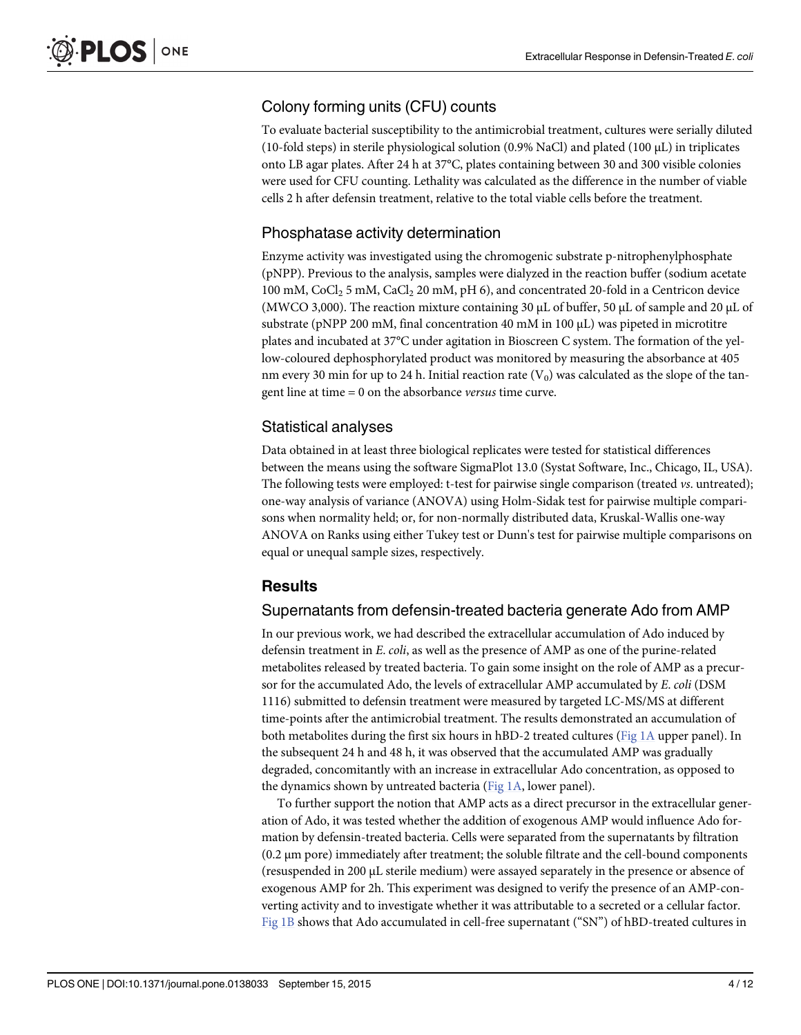# <span id="page-3-0"></span>Colony forming units (CFU) counts

To evaluate bacterial susceptibility to the antimicrobial treatment, cultures were serially diluted (10-fold steps) in sterile physiological solution (0.9% NaCl) and plated (100 μL) in triplicates onto LB agar plates. After 24 h at 37°C, plates containing between 30 and 300 visible colonies were used for CFU counting. Lethality was calculated as the difference in the number of viable cells 2 h after defensin treatment, relative to the total viable cells before the treatment.

#### Phosphatase activity determination

Enzyme activity was investigated using the chromogenic substrate p-nitrophenylphosphate (pNPP). Previous to the analysis, samples were dialyzed in the reaction buffer (sodium acetate 100 mM, CoCl<sub>2</sub> 5 mM, CaCl<sub>2</sub> 20 mM, pH 6), and concentrated 20-fold in a Centricon device (MWCO 3,000). The reaction mixture containing 30 μL of buffer, 50 μL of sample and 20 μL of substrate (pNPP 200 mM, final concentration 40 mM in 100 μL) was pipeted in microtitre plates and incubated at 37°C under agitation in Bioscreen C system. The formation of the yellow-coloured dephosphorylated product was monitored by measuring the absorbance at 405 nm every 30 min for up to 24 h. Initial reaction rate  $(V_0)$  was calculated as the slope of the tangent line at time = 0 on the absorbance versus time curve.

## Statistical analyses

Data obtained in at least three biological replicates were tested for statistical differences between the means using the software SigmaPlot 13.0 (Systat Software, Inc., Chicago, IL, USA). The following tests were employed: t-test for pairwise single comparison (treated vs. untreated); one-way analysis of variance (ANOVA) using Holm-Sidak test for pairwise multiple comparisons when normality held; or, for non-normally distributed data, Kruskal-Wallis one-way ANOVA on Ranks using either Tukey test or Dunn's test for pairwise multiple comparisons on equal or unequal sample sizes, respectively.

#### Results

#### Supernatants from defensin-treated bacteria generate Ado from AMP

In our previous work, we had described the extracellular accumulation of Ado induced by defensin treatment in E. coli, as well as the presence of AMP as one of the purine-related metabolites released by treated bacteria. To gain some insight on the role of AMP as a precursor for the accumulated Ado, the levels of extracellular AMP accumulated by E. coli (DSM 1116) submitted to defensin treatment were measured by targeted LC-MS/MS at different time-points after the antimicrobial treatment. The results demonstrated an accumulation of both metabolites during the first six hours in hBD-2 treated cultures ([Fig 1A](#page-4-0) upper panel). In the subsequent 24 h and 48 h, it was observed that the accumulated AMP was gradually degraded, concomitantly with an increase in extracellular Ado concentration, as opposed to the dynamics shown by untreated bacteria ([Fig 1A](#page-4-0), lower panel).

To further support the notion that AMP acts as a direct precursor in the extracellular generation of Ado, it was tested whether the addition of exogenous AMP would influence Ado formation by defensin-treated bacteria. Cells were separated from the supernatants by filtration (0.2 μm pore) immediately after treatment; the soluble filtrate and the cell-bound components (resuspended in 200 μL sterile medium) were assayed separately in the presence or absence of exogenous AMP for 2h. This experiment was designed to verify the presence of an AMP-converting activity and to investigate whether it was attributable to a secreted or a cellular factor. [Fig 1B](#page-4-0) shows that Ado accumulated in cell-free supernatant ("SN") of hBD-treated cultures in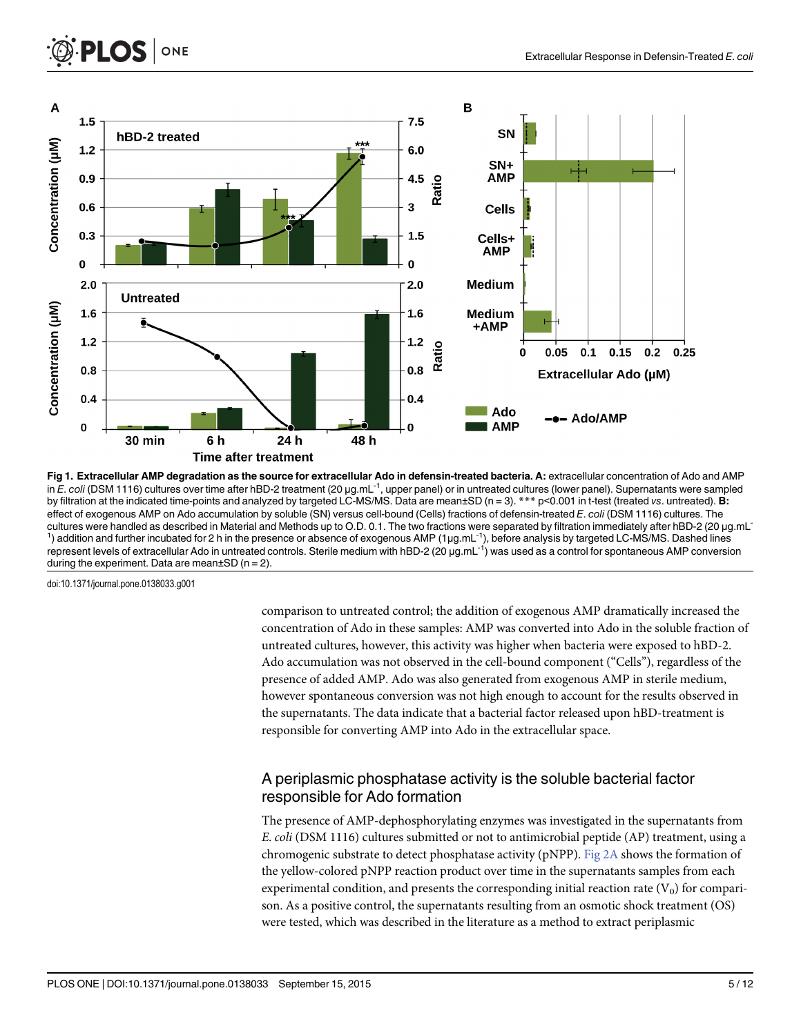<span id="page-4-0"></span>

[Fig 1. E](#page-3-0)xtracellular AMP degradation as the source for extracellular Ado in defensin-treated bacteria. A: extracellular concentration of Ado and AMP in E. coli (DSM 1116) cultures over time after hBD-2 treatment (20 μg.mL<sup>-1</sup>, upper panel) or in untreated cultures (lower panel). Supernatants were sampled by filtration at the indicated time-points and analyzed by targeted LC-MS/MS. Data are mean±SD (n = 3).  $**$  p<0.001 in t-test (treated vs. untreated). **B:** effect of exogenous AMP on Ado accumulation by soluble (SN) versus cell-bound (Cells) fractions of defensin-treated E. coli (DSM 1116) cultures. The cultures were handled as described in Material and Methods up to O.D. 0.1. The two fractions were separated by filtration immediately after hBD-2 (20 μg.mL-<sup>1</sup>) addition and further incubated for 2 h in the presence or absence of exogenous AMP (1µg.mL<sup>-1</sup>), before analysis by targeted LC-MS/MS. Dashed lines represent levels of extracellular Ado in untreated controls. Sterile medium with hBD-2 (20 μg.mL-1) was used as a control for spontaneous AMP conversion during the experiment. Data are mean $\pm$ SD (n = 2).

doi:10.1371/journal.pone.0138033.g001

comparison to untreated control; the addition of exogenous AMP dramatically increased the concentration of Ado in these samples: AMP was converted into Ado in the soluble fraction of untreated cultures, however, this activity was higher when bacteria were exposed to hBD-2. Ado accumulation was not observed in the cell-bound component ("Cells"), regardless of the presence of added AMP. Ado was also generated from exogenous AMP in sterile medium, however spontaneous conversion was not high enough to account for the results observed in the supernatants. The data indicate that a bacterial factor released upon hBD-treatment is responsible for converting AMP into Ado in the extracellular space.

# A periplasmic phosphatase activity is the soluble bacterial factor responsible for Ado formation

The presence of AMP-dephosphorylating enzymes was investigated in the supernatants from E. coli (DSM 1116) cultures submitted or not to antimicrobial peptide (AP) treatment, using a chromogenic substrate to detect phosphatase activity (pNPP). [Fig 2A](#page-6-0) shows the formation of the yellow-colored pNPP reaction product over time in the supernatants samples from each experimental condition, and presents the corresponding initial reaction rate  $(V_0)$  for comparison. As a positive control, the supernatants resulting from an osmotic shock treatment (OS) were tested, which was described in the literature as a method to extract periplasmic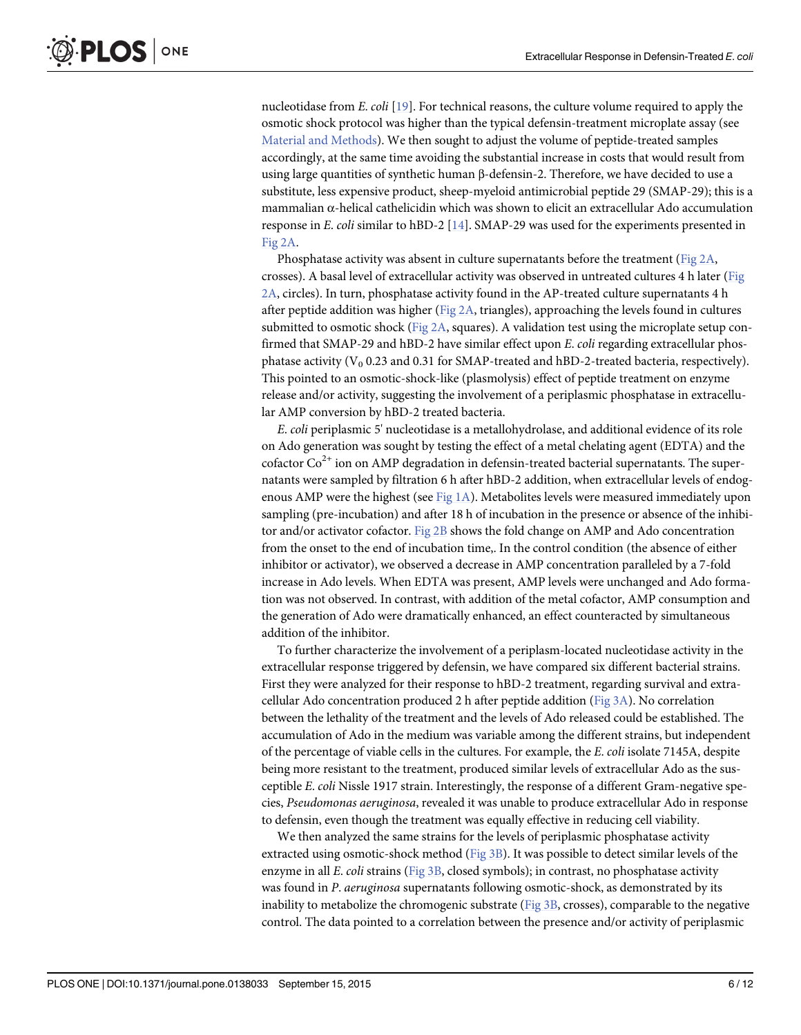<span id="page-5-0"></span>nucleotidase from E. coli [[19](#page-10-0)]. For technical reasons, the culture volume required to apply the osmotic shock protocol was higher than the typical defensin-treatment microplate assay (see [Material and Methods](#page-1-0)). We then sought to adjust the volume of peptide-treated samples accordingly, at the same time avoiding the substantial increase in costs that would result from using large quantities of synthetic human β-defensin-2. Therefore, we have decided to use a substitute, less expensive product, sheep-myeloid antimicrobial peptide 29 (SMAP-29); this is a mammalian α-helical cathelicidin which was shown to elicit an extracellular Ado accumulation response in E. coli similar to hBD-2 [\[14](#page-10-0)]. SMAP-29 was used for the experiments presented in [Fig 2A](#page-6-0).

Phosphatase activity was absent in culture supernatants before the treatment ( $Fig 2A$ , crosses). A basal level of extracellular activity was observed in untreated cultures 4 h later ([Fig](#page-6-0) [2A,](#page-6-0) circles). In turn, phosphatase activity found in the AP-treated culture supernatants 4 h after peptide addition was higher [\(Fig 2A](#page-6-0), triangles), approaching the levels found in cultures submitted to osmotic shock ([Fig 2A](#page-6-0), squares). A validation test using the microplate setup confirmed that SMAP-29 and hBD-2 have similar effect upon E. coli regarding extracellular phosphatase activity ( $V_0$  0.23 and 0.31 for SMAP-treated and hBD-2-treated bacteria, respectively). This pointed to an osmotic-shock-like (plasmolysis) effect of peptide treatment on enzyme release and/or activity, suggesting the involvement of a periplasmic phosphatase in extracellular AMP conversion by hBD-2 treated bacteria.

E. coli periplasmic 5' nucleotidase is a metallohydrolase, and additional evidence of its role on Ado generation was sought by testing the effect of a metal chelating agent (EDTA) and the cofactor  $Co<sup>2+</sup>$  ion on AMP degradation in defensin-treated bacterial supernatants. The supernatants were sampled by filtration 6 h after hBD-2 addition, when extracellular levels of endogenous AMP were the highest (see Fig  $1A$ ). Metabolites levels were measured immediately upon sampling (pre-incubation) and after 18 h of incubation in the presence or absence of the inhibitor and/or activator cofactor. [Fig 2B](#page-6-0) shows the fold change on AMP and Ado concentration from the onset to the end of incubation time,. In the control condition (the absence of either inhibitor or activator), we observed a decrease in AMP concentration paralleled by a 7-fold increase in Ado levels. When EDTA was present, AMP levels were unchanged and Ado formation was not observed. In contrast, with addition of the metal cofactor, AMP consumption and the generation of Ado were dramatically enhanced, an effect counteracted by simultaneous addition of the inhibitor.

To further characterize the involvement of a periplasm-located nucleotidase activity in the extracellular response triggered by defensin, we have compared six different bacterial strains. First they were analyzed for their response to hBD-2 treatment, regarding survival and extracellular Ado concentration produced 2 h after peptide addition ( $Fig 3A$ ). No correlation between the lethality of the treatment and the levels of Ado released could be established. The accumulation of Ado in the medium was variable among the different strains, but independent of the percentage of viable cells in the cultures. For example, the E. coli isolate 7145A, despite being more resistant to the treatment, produced similar levels of extracellular Ado as the susceptible E. coli Nissle 1917 strain. Interestingly, the response of a different Gram-negative species, Pseudomonas aeruginosa, revealed it was unable to produce extracellular Ado in response to defensin, even though the treatment was equally effective in reducing cell viability.

We then analyzed the same strains for the levels of periplasmic phosphatase activity extracted using osmotic-shock method [\(Fig 3B](#page-7-0)). It was possible to detect similar levels of the enzyme in all E. coli strains [\(Fig 3B,](#page-7-0) closed symbols); in contrast, no phosphatase activity was found in P. aeruginosa supernatants following osmotic-shock, as demonstrated by its inability to metabolize the chromogenic substrate [\(Fig 3B](#page-7-0), crosses), comparable to the negative control. The data pointed to a correlation between the presence and/or activity of periplasmic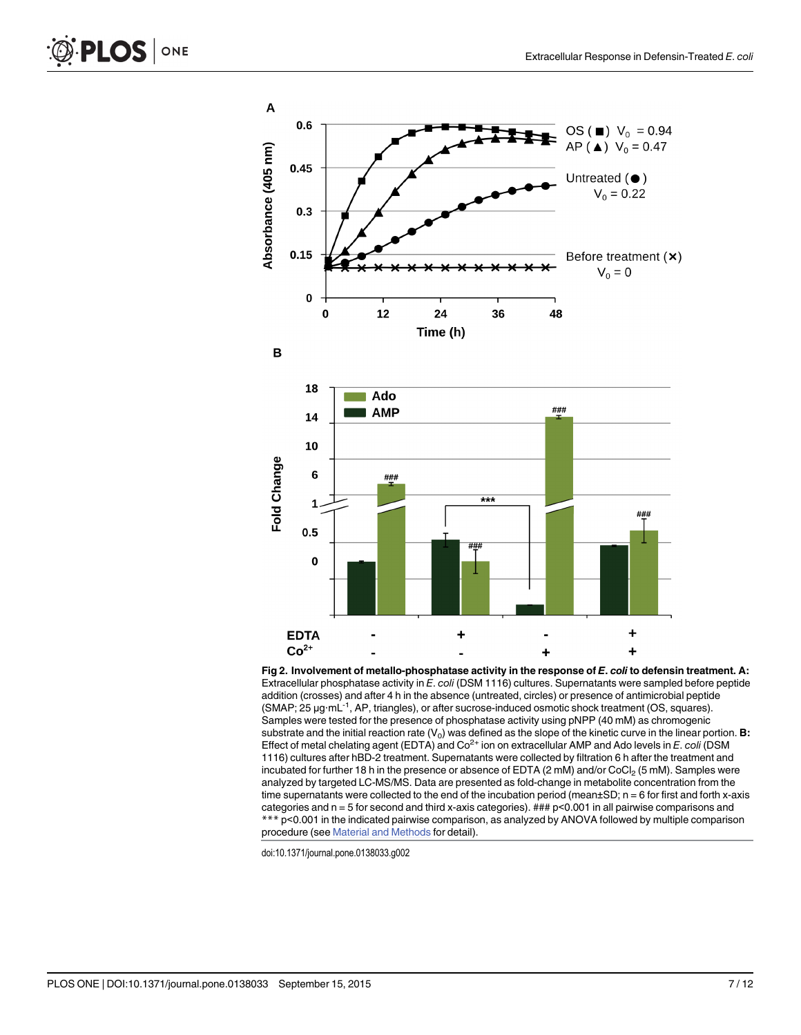<span id="page-6-0"></span>

[Fig 2. I](#page-4-0)nvolvement of metallo-phosphatase activity in the response of E. coli to defensin treatment. A: Extracellular phosphatase activity in E. coli (DSM 1116) cultures. Supernatants were sampled before peptide addition (crosses) and after 4 h in the absence (untreated, circles) or presence of antimicrobial peptide (SMAP; 25 μg∙mL-1, AP, triangles), or after sucrose-induced osmotic shock treatment (OS, squares). Samples were tested for the presence of phosphatase activity using pNPP (40 mM) as chromogenic substrate and the initial reaction rate  $(V_0)$  was defined as the slope of the kinetic curve in the linear portion. B: Effect of metal chelating agent (EDTA) and  $Co<sup>2+</sup>$  ion on extracellular AMP and Ado levels in E. coli (DSM 1116) cultures after hBD-2 treatment. Supernatants were collected by filtration 6 h after the treatment and incubated for further 18 h in the presence or absence of EDTA (2 mM) and/or CoCl<sub>2</sub> (5 mM). Samples were analyzed by targeted LC-MS/MS. Data are presented as fold-change in metabolite concentration from the time supernatants were collected to the end of the incubation period (mean±SD; n = 6 for first and forth x-axis categories and n = 5 for second and third x-axis categories). ### p<0.001 in all pairwise comparisons and \*\*\* p<0.001 in the indicated pairwise comparison, as analyzed by ANOVA followed by multiple comparison procedure (see [Material and Methods](#page-1-0) for detail).

doi:10.1371/journal.pone.0138033.g002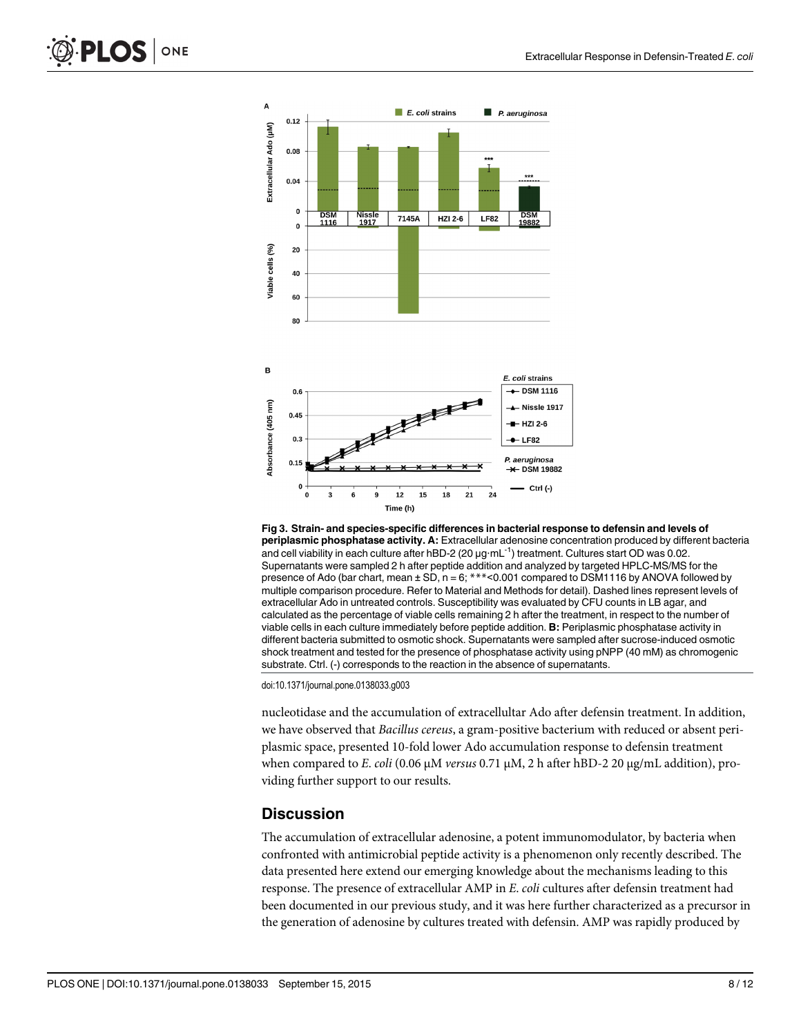<span id="page-7-0"></span>



[Fig 3. S](#page-5-0)train- and species-specific differences in bacterial response to defensin and levels of periplasmic phosphatase activity. A: Extracellular adenosine concentration produced by different bacteria and cell viability in each culture after hBD-2 (20 μg∙mL-1) treatment. Cultures start OD was 0.02. Supernatants were sampled 2 h after peptide addition and analyzed by targeted HPLC-MS/MS for the presence of Ado (bar chart, mean  $\pm$  SD, n = 6; \*\*\* < 0.001 compared to DSM1116 by ANOVA followed by multiple comparison procedure. Refer to Material and Methods for detail). Dashed lines represent levels of extracellular Ado in untreated controls. Susceptibility was evaluated by CFU counts in LB agar, and calculated as the percentage of viable cells remaining 2 h after the treatment, in respect to the number of viable cells in each culture immediately before peptide addition. B: Periplasmic phosphatase activity in different bacteria submitted to osmotic shock. Supernatants were sampled after sucrose-induced osmotic shock treatment and tested for the presence of phosphatase activity using pNPP (40 mM) as chromogenic substrate. Ctrl. (-) corresponds to the reaction in the absence of supernatants.

doi:10.1371/journal.pone.0138033.g003

nucleotidase and the accumulation of extracellultar Ado after defensin treatment. In addition, we have observed that Bacillus cereus, a gram-positive bacterium with reduced or absent periplasmic space, presented 10-fold lower Ado accumulation response to defensin treatment when compared to E. coli (0.06 μM versus 0.71 μM, 2 h after hBD-2 20 μg/mL addition), providing further support to our results.

## **Discussion**

The accumulation of extracellular adenosine, a potent immunomodulator, by bacteria when confronted with antimicrobial peptide activity is a phenomenon only recently described. The data presented here extend our emerging knowledge about the mechanisms leading to this response. The presence of extracellular AMP in E. coli cultures after defensin treatment had been documented in our previous study, and it was here further characterized as a precursor in the generation of adenosine by cultures treated with defensin. AMP was rapidly produced by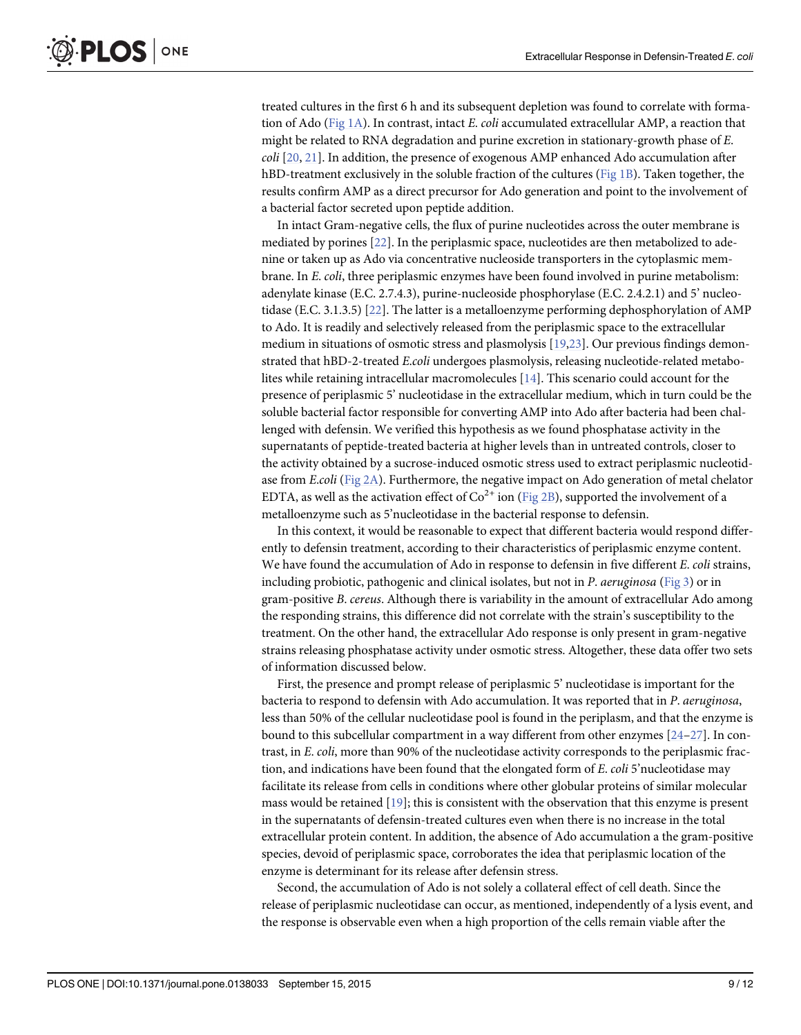<span id="page-8-0"></span>treated cultures in the first 6 h and its subsequent depletion was found to correlate with forma-tion of Ado [\(Fig 1A](#page-4-0)). In contrast, intact E. coli accumulated extracellular AMP, a reaction that might be related to RNA degradation and purine excretion in stationary-growth phase of E.  $\text{coll}$  [\[20,](#page-10-0) [21\]](#page-10-0). In addition, the presence of exogenous AMP enhanced Ado accumulation after hBD-treatment exclusively in the soluble fraction of the cultures ([Fig 1B](#page-4-0)). Taken together, the results confirm AMP as a direct precursor for Ado generation and point to the involvement of a bacterial factor secreted upon peptide addition.

In intact Gram-negative cells, the flux of purine nucleotides across the outer membrane is mediated by porines [\[22\]](#page-11-0). In the periplasmic space, nucleotides are then metabolized to adenine or taken up as Ado via concentrative nucleoside transporters in the cytoplasmic membrane. In E. coli, three periplasmic enzymes have been found involved in purine metabolism: adenylate kinase (E.C. 2.7.4.3), purine-nucleoside phosphorylase (E.C. 2.4.2.1) and 5' nucleotidase (E.C. 3.1.3.5) [\[22\]](#page-11-0). The latter is a metalloenzyme performing dephosphorylation of AMP to Ado. It is readily and selectively released from the periplasmic space to the extracellular medium in situations of osmotic stress and plasmolysis  $[19,23]$  $[19,23]$ . Our previous findings demonstrated that hBD-2-treated E.coli undergoes plasmolysis, releasing nucleotide-related metabolites while retaining intracellular macromolecules [[14](#page-10-0)]. This scenario could account for the presence of periplasmic 5' nucleotidase in the extracellular medium, which in turn could be the soluble bacterial factor responsible for converting AMP into Ado after bacteria had been challenged with defensin. We verified this hypothesis as we found phosphatase activity in the supernatants of peptide-treated bacteria at higher levels than in untreated controls, closer to the activity obtained by a sucrose-induced osmotic stress used to extract periplasmic nucleotidase from *E.coli* (Fig  $2A$ ). Furthermore, the negative impact on Ado generation of metal chelator EDTA, as well as the activation effect of  $Co^{2+}$  ion [\(Fig 2B](#page-6-0)), supported the involvement of a metalloenzyme such as 5'nucleotidase in the bacterial response to defensin.

In this context, it would be reasonable to expect that different bacteria would respond differently to defensin treatment, according to their characteristics of periplasmic enzyme content. We have found the accumulation of Ado in response to defensin in five different E. coli strains, including probiotic, pathogenic and clinical isolates, but not in  $P$ . aeruginosa ([Fig 3](#page-7-0)) or in gram-positive B. cereus. Although there is variability in the amount of extracellular Ado among the responding strains, this difference did not correlate with the strain's susceptibility to the treatment. On the other hand, the extracellular Ado response is only present in gram-negative strains releasing phosphatase activity under osmotic stress. Altogether, these data offer two sets of information discussed below.

First, the presence and prompt release of periplasmic 5' nucleotidase is important for the bacteria to respond to defensin with Ado accumulation. It was reported that in P. aeruginosa, less than 50% of the cellular nucleotidase pool is found in the periplasm, and that the enzyme is bound to this subcellular compartment in a way different from other enzymes [\[24](#page-11-0)–[27](#page-11-0)]. In contrast, in E. coli, more than 90% of the nucleotidase activity corresponds to the periplasmic fraction, and indications have been found that the elongated form of  $E$ . *coli* 5'nucleotidase may facilitate its release from cells in conditions where other globular proteins of similar molecular mass would be retained [[19](#page-10-0)]; this is consistent with the observation that this enzyme is present in the supernatants of defensin-treated cultures even when there is no increase in the total extracellular protein content. In addition, the absence of Ado accumulation a the gram-positive species, devoid of periplasmic space, corroborates the idea that periplasmic location of the enzyme is determinant for its release after defensin stress.

Second, the accumulation of Ado is not solely a collateral effect of cell death. Since the release of periplasmic nucleotidase can occur, as mentioned, independently of a lysis event, and the response is observable even when a high proportion of the cells remain viable after the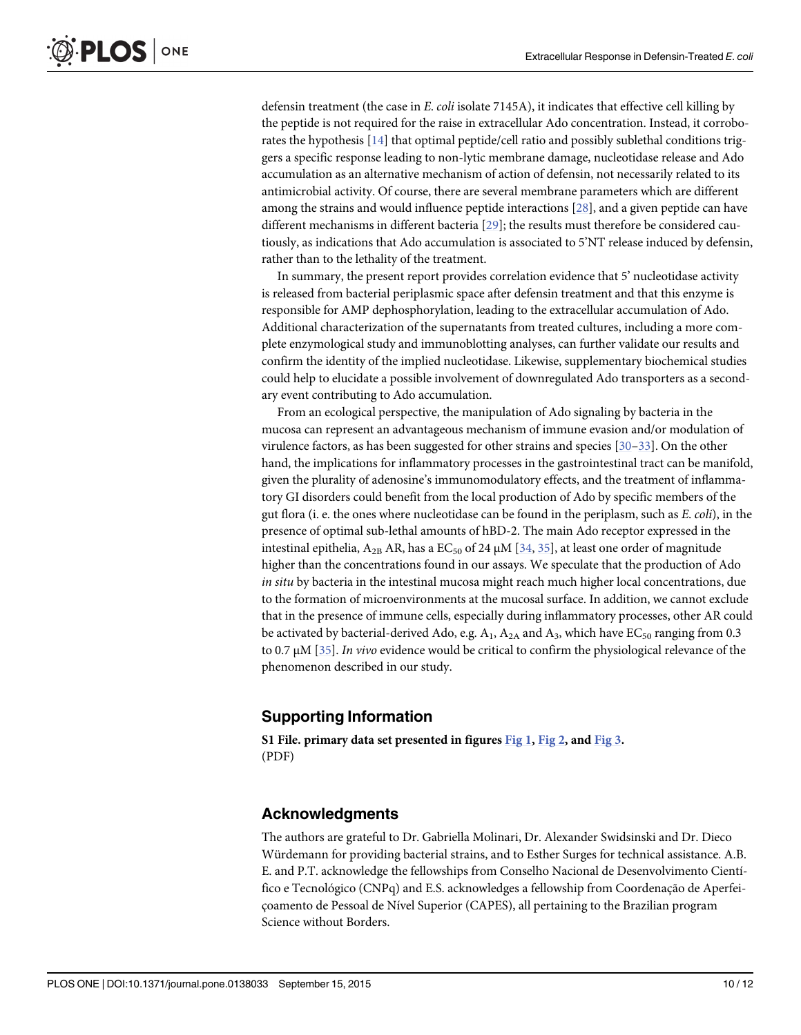<span id="page-9-0"></span>defensin treatment (the case in  $E$ . *coli* isolate 7145A), it indicates that effective cell killing by the peptide is not required for the raise in extracellular Ado concentration. Instead, it corroborates the hypothesis [[14\]](#page-10-0) that optimal peptide/cell ratio and possibly sublethal conditions triggers a specific response leading to non-lytic membrane damage, nucleotidase release and Ado accumulation as an alternative mechanism of action of defensin, not necessarily related to its antimicrobial activity. Of course, there are several membrane parameters which are different among the strains and would influence peptide interactions [[28](#page-11-0)], and a given peptide can have different mechanisms in different bacteria [[29](#page-11-0)]; the results must therefore be considered cautiously, as indications that Ado accumulation is associated to 5'NT release induced by defensin, rather than to the lethality of the treatment.

In summary, the present report provides correlation evidence that 5' nucleotidase activity is released from bacterial periplasmic space after defensin treatment and that this enzyme is responsible for AMP dephosphorylation, leading to the extracellular accumulation of Ado. Additional characterization of the supernatants from treated cultures, including a more complete enzymological study and immunoblotting analyses, can further validate our results and confirm the identity of the implied nucleotidase. Likewise, supplementary biochemical studies could help to elucidate a possible involvement of downregulated Ado transporters as a secondary event contributing to Ado accumulation.

From an ecological perspective, the manipulation of Ado signaling by bacteria in the mucosa can represent an advantageous mechanism of immune evasion and/or modulation of virulence factors, as has been suggested for other strains and species [\[30](#page-11-0)–[33\]](#page-11-0). On the other hand, the implications for inflammatory processes in the gastrointestinal tract can be manifold, given the plurality of adenosine's immunomodulatory effects, and the treatment of inflammatory GI disorders could benefit from the local production of Ado by specific members of the gut flora (i. e. the ones where nucleotidase can be found in the periplasm, such as E. coli), in the presence of optimal sub-lethal amounts of hBD-2. The main Ado receptor expressed in the intestinal epithelia,  $A_{2B}$  AR, has a EC<sub>50</sub> of 24  $\mu$ M [\[34,](#page-11-0) [35\]](#page-11-0), at least one order of magnitude higher than the concentrations found in our assays. We speculate that the production of Ado in situ by bacteria in the intestinal mucosa might reach much higher local concentrations, due to the formation of microenvironments at the mucosal surface. In addition, we cannot exclude that in the presence of immune cells, especially during inflammatory processes, other AR could be activated by bacterial-derived Ado, e.g.  $A_1$ ,  $A_{2A}$  and  $A_3$ , which have EC<sub>50</sub> ranging from 0.3 to 0.7  $\mu$ M [[35](#page-11-0)]. *In vivo* evidence would be critical to confirm the physiological relevance of the phenomenon described in our study.

## Supporting Information

[S1 File.](http://www.plosone.org/article/fetchSingleRepresentation.action?uri=info:doi/10.1371/journal.pone.0138033.s001) primary data set presented in figures  $Fig 1, Fig 2, and Fig 3.$  $Fig 1, Fig 2, and Fig 3.$  $Fig 1, Fig 2, and Fig 3.$  $Fig 1, Fig 2, and Fig 3.$  $Fig 1, Fig 2, and Fig 3.$ (PDF)

#### Acknowledgments

The authors are grateful to Dr. Gabriella Molinari, Dr. Alexander Swidsinski and Dr. Dieco Würdemann for providing bacterial strains, and to Esther Surges for technical assistance. A.B. E. and P.T. acknowledge the fellowships from Conselho Nacional de Desenvolvimento Científico e Tecnológico (CNPq) and E.S. acknowledges a fellowship from Coordenação de Aperfeiçoamento de Pessoal de Nível Superior (CAPES), all pertaining to the Brazilian program Science without Borders.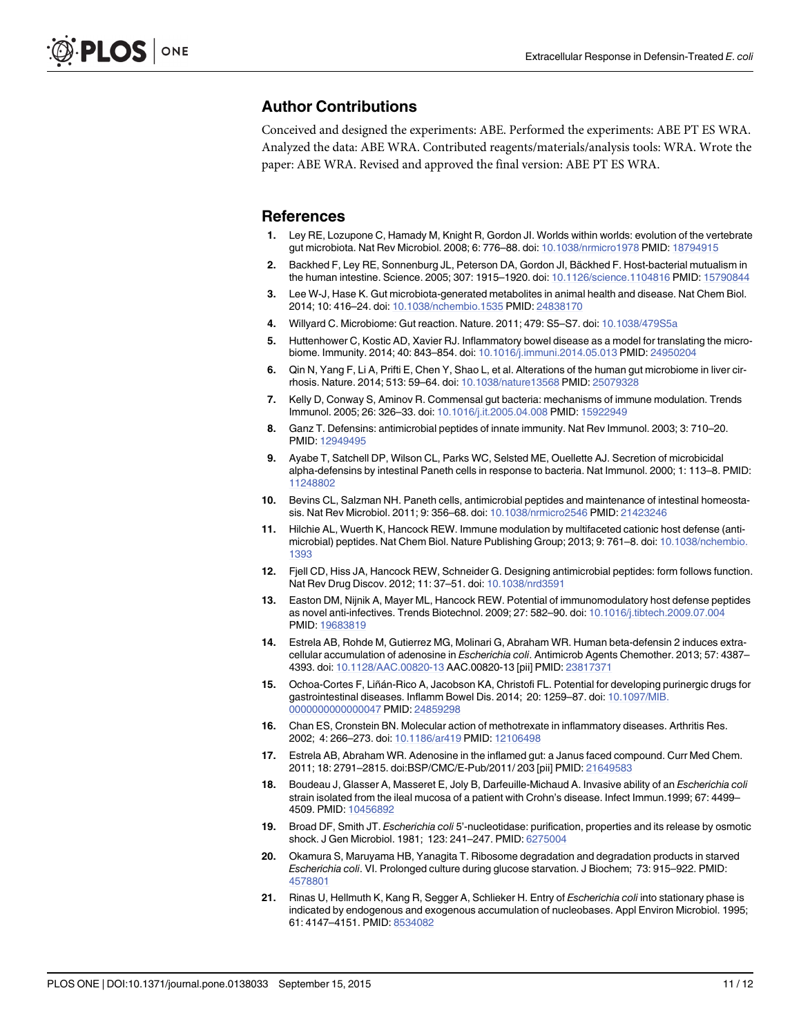#### <span id="page-10-0"></span>Author Contributions

Conceived and designed the experiments: ABE. Performed the experiments: ABE PT ES WRA. Analyzed the data: ABE WRA. Contributed reagents/materials/analysis tools: WRA. Wrote the paper: ABE WRA. Revised and approved the final version: ABE PT ES WRA.

#### **References**

- [1.](#page-1-0) Ley RE, Lozupone C, Hamady M, Knight R, Gordon JI. Worlds within worlds: evolution of the vertebrate gut microbiota. Nat Rev Microbiol. 2008; 6: 776–88. doi: [10.1038/nrmicro1978](http://dx.doi.org/10.1038/nrmicro1978) PMID: [18794915](http://www.ncbi.nlm.nih.gov/pubmed/18794915)
- [2.](#page-1-0) Backhed F, Ley RE, Sonnenburg JL, Peterson DA, Gordon JI, Bäckhed F. Host-bacterial mutualism in the human intestine. Science. 2005; 307: 1915–1920. doi: [10.1126/science.1104816](http://dx.doi.org/10.1126/science.1104816) PMID: [15790844](http://www.ncbi.nlm.nih.gov/pubmed/15790844)
- [3.](#page-1-0) Lee W-J, Hase K. Gut microbiota-generated metabolites in animal health and disease. Nat Chem Biol. 2014; 10: 416–24. doi: [10.1038/nchembio.1535](http://dx.doi.org/10.1038/nchembio.1535) PMID: [24838170](http://www.ncbi.nlm.nih.gov/pubmed/24838170)
- [4.](#page-1-0) Willyard C. Microbiome: Gut reaction. Nature. 2011; 479: S5–S7. doi: [10.1038/479S5a](http://dx.doi.org/10.1038/479S5a)
- [5.](#page-1-0) Huttenhower C, Kostic AD, Xavier RJ. Inflammatory bowel disease as a model for translating the microbiome. Immunity. 2014; 40: 843–854. doi: [10.1016/j.immuni.2014.05.013](http://dx.doi.org/10.1016/j.immuni.2014.05.013) PMID: [24950204](http://www.ncbi.nlm.nih.gov/pubmed/24950204)
- [6.](#page-1-0) Qin N, Yang F, Li A, Prifti E, Chen Y, Shao L, et al. Alterations of the human gut microbiome in liver cirrhosis. Nature. 2014; 513: 59–64. doi: [10.1038/nature13568](http://dx.doi.org/10.1038/nature13568) PMID: [25079328](http://www.ncbi.nlm.nih.gov/pubmed/25079328)
- [7.](#page-1-0) Kelly D, Conway S, Aminov R. Commensal gut bacteria: mechanisms of immune modulation. Trends Immunol. 2005; 26: 326–33. doi: [10.1016/j.it.2005.04.008](http://dx.doi.org/10.1016/j.it.2005.04.008) PMID: [15922949](http://www.ncbi.nlm.nih.gov/pubmed/15922949)
- [8.](#page-1-0) Ganz T. Defensins: antimicrobial peptides of innate immunity. Nat Rev Immunol. 2003; 3: 710–20. PMID: [12949495](http://www.ncbi.nlm.nih.gov/pubmed/12949495)
- [9.](#page-1-0) Ayabe T, Satchell DP, Wilson CL, Parks WC, Selsted ME, Ouellette AJ. Secretion of microbicidal alpha-defensins by intestinal Paneth cells in response to bacteria. Nat Immunol. 2000; 1: 113–8. PMID: [11248802](http://www.ncbi.nlm.nih.gov/pubmed/11248802)
- [10.](#page-1-0) Bevins CL, Salzman NH. Paneth cells, antimicrobial peptides and maintenance of intestinal homeostasis. Nat Rev Microbiol. 2011; 9: 356–68. doi: [10.1038/nrmicro2546](http://dx.doi.org/10.1038/nrmicro2546) PMID: [21423246](http://www.ncbi.nlm.nih.gov/pubmed/21423246)
- [11.](#page-1-0) Hilchie AL, Wuerth K, Hancock REW. Immune modulation by multifaceted cationic host defense (antimicrobial) peptides. Nat Chem Biol. Nature Publishing Group; 2013; 9: 761–8. doi: [10.1038/nchembio.](http://dx.doi.org/10.1038/nchembio.1393) [1393](http://dx.doi.org/10.1038/nchembio.1393)
- [12.](#page-1-0) Fjell CD, Hiss JA, Hancock REW, Schneider G. Designing antimicrobial peptides: form follows function. Nat Rev Drug Discov. 2012; 11: 37–51. doi: [10.1038/nrd3591](http://dx.doi.org/10.1038/nrd3591)
- [13.](#page-1-0) Easton DM, Nijnik A, Mayer ML, Hancock REW. Potential of immunomodulatory host defense peptides as novel anti-infectives. Trends Biotechnol. 2009; 27: 582–90. doi: [10.1016/j.tibtech.2009.07.004](http://dx.doi.org/10.1016/j.tibtech.2009.07.004) PMID: [19683819](http://www.ncbi.nlm.nih.gov/pubmed/19683819)
- [14.](#page-1-0) Estrela AB, Rohde M, Gutierrez MG, Molinari G, Abraham WR. Human beta-defensin 2 induces extracellular accumulation of adenosine in Escherichia coli. Antimicrob Agents Chemother. 2013; 57: 4387– 4393. doi: [10.1128/AAC.00820-13](http://dx.doi.org/10.1128/AAC.00820-13) AAC.00820-13 [pii] PMID: [23817371](http://www.ncbi.nlm.nih.gov/pubmed/23817371)
- [15.](#page-1-0) Ochoa-Cortes F, Liñán-Rico A, Jacobson KA, Christofi FL. Potential for developing purinergic drugs for gastrointestinal diseases. Inflamm Bowel Dis. 2014; 20: 1259–87. doi: [10.1097/MIB.](http://dx.doi.org/10.1097/MIB.0000000000000047) [0000000000000047](http://dx.doi.org/10.1097/MIB.0000000000000047) PMID: [24859298](http://www.ncbi.nlm.nih.gov/pubmed/24859298)
- [16.](#page-1-0) Chan ES, Cronstein BN. Molecular action of methotrexate in inflammatory diseases. Arthritis Res. 2002; 4: 266–273. doi: [10.1186/ar419](http://dx.doi.org/10.1186/ar419) PMID: [12106498](http://www.ncbi.nlm.nih.gov/pubmed/12106498)
- [17.](#page-1-0) Estrela AB, Abraham WR. Adenosine in the inflamed gut: a Janus faced compound. Curr Med Chem. 2011; 18: 2791–2815. doi:BSP/CMC/E-Pub/2011/ 203 [pii] PMID: [21649583](http://www.ncbi.nlm.nih.gov/pubmed/21649583)
- [18.](#page-1-0) Boudeau J, Glasser A, Masseret E, Joly B, Darfeuille-Michaud A. Invasive ability of an *Escherichia coli* strain isolated from the ileal mucosa of a patient with Crohn's disease. Infect Immun.1999; 67: 4499– 4509. PMID: [10456892](http://www.ncbi.nlm.nih.gov/pubmed/10456892)
- [19.](#page-2-0) Broad DF, Smith JT. Escherichia coli 5'-nucleotidase: purification, properties and its release by osmotic shock. J Gen Microbiol. 1981; 123: 241–247. PMID: [6275004](http://www.ncbi.nlm.nih.gov/pubmed/6275004)
- [20.](#page-8-0) Okamura S, Maruyama HB, Yanagita T. Ribosome degradation and degradation products in starved Escherichia coli. VI. Prolonged culture during glucose starvation. J Biochem; 73: 915–922. PMID: [4578801](http://www.ncbi.nlm.nih.gov/pubmed/4578801)
- [21.](#page-8-0) Rinas U, Hellmuth K, Kang R, Segger A, Schlieker H. Entry of Escherichia coli into stationary phase is indicated by endogenous and exogenous accumulation of nucleobases. Appl Environ Microbiol. 1995; 61: 4147–4151. PMID: [8534082](http://www.ncbi.nlm.nih.gov/pubmed/8534082)